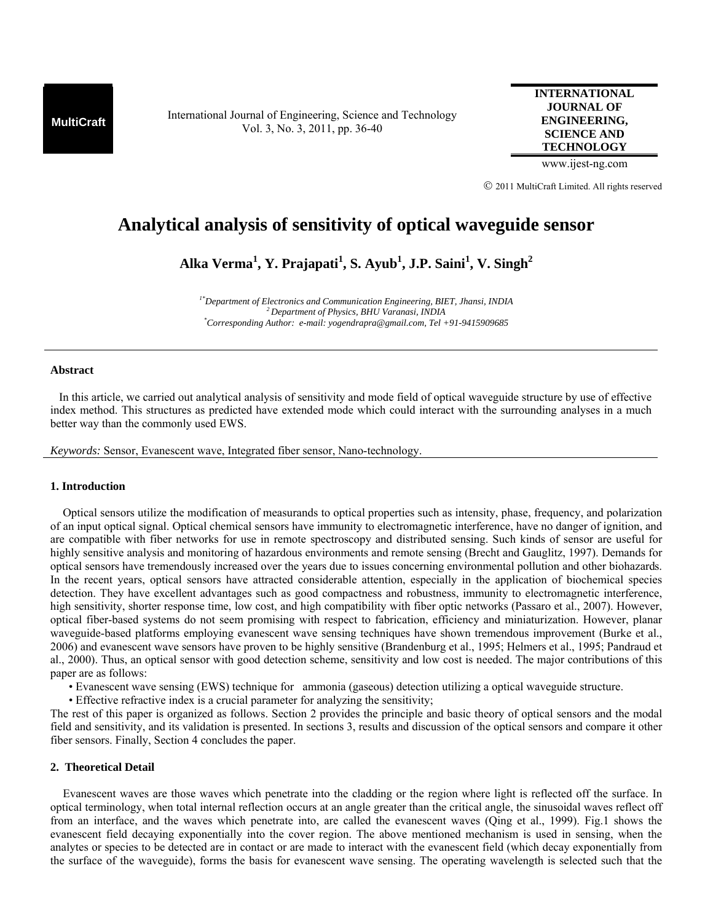**MultiCraft** International Journal of Engineering, Science and Technology Vol. 3, No. 3, 2011, pp. 36-40

**INTERNATIONAL JOURNAL OF ENGINEERING, SCIENCE AND TECHNOLOGY**

www.ijest-ng.com

© 2011 MultiCraft Limited. All rights reserved

# **Analytical analysis of sensitivity of optical waveguide sensor**

**Alka Verma1 , Y. Prajapati<sup>1</sup> , S. Ayub1 , J.P. Saini<sup>1</sup> , V. Singh2**

*1\*Department of Electronics and Communication Engineering, BIET, Jhansi, INDIA 2 Department of Physics, BHU Varanasi, INDIA \* Corresponding Author: e-mail: yogendrapra@gmail.com, Tel +91-9415909685*

#### **Abstract**

 In this article, we carried out analytical analysis of sensitivity and mode field of optical waveguide structure by use of effective index method. This structures as predicted have extended mode which could interact with the surrounding analyses in a much better way than the commonly used EWS.

*Keywords:* Sensor, Evanescent wave, Integrated fiber sensor, Nano-technology.

## **1. Introduction**

Optical sensors utilize the modification of measurands to optical properties such as intensity, phase, frequency, and polarization of an input optical signal. Optical chemical sensors have immunity to electromagnetic interference, have no danger of ignition, and are compatible with fiber networks for use in remote spectroscopy and distributed sensing. Such kinds of sensor are useful for highly sensitive analysis and monitoring of hazardous environments and remote sensing (Brecht and Gauglitz, 1997). Demands for optical sensors have tremendously increased over the years due to issues concerning environmental pollution and other biohazards. In the recent years, optical sensors have attracted considerable attention, especially in the application of biochemical species detection. They have excellent advantages such as good compactness and robustness, immunity to electromagnetic interference, high sensitivity, shorter response time, low cost, and high compatibility with fiber optic networks (Passaro et al., 2007). However, optical fiber-based systems do not seem promising with respect to fabrication, efficiency and miniaturization. However, planar waveguide-based platforms employing evanescent wave sensing techniques have shown tremendous improvement (Burke et al., 2006) and evanescent wave sensors have proven to be highly sensitive (Brandenburg et al., 1995; Helmers et al., 1995; Pandraud et al., 2000). Thus, an optical sensor with good detection scheme, sensitivity and low cost is needed. The major contributions of this paper are as follows:

- Evanescent wave sensing (EWS) technique for ammonia (gaseous) detection utilizing a optical waveguide structure.
- Effective refractive index is a crucial parameter for analyzing the sensitivity;

The rest of this paper is organized as follows. Section 2 provides the principle and basic theory of optical sensors and the modal field and sensitivity, and its validation is presented. In sections 3, results and discussion of the optical sensors and compare it other fiber sensors. Finally, Section 4 concludes the paper.

## **2. Theoretical Detail**

Evanescent waves are those waves which penetrate into the cladding or the region where light is reflected off the surface. In optical terminology, when total internal reflection occurs at an angle greater than the critical angle, the sinusoidal waves reflect off from an interface, and the waves which penetrate into, are called the evanescent waves (Qing et al., 1999). Fig.1 shows the evanescent field decaying exponentially into the cover region. The above mentioned mechanism is used in sensing, when the analytes or species to be detected are in contact or are made to interact with the evanescent field (which decay exponentially from the surface of the waveguide), forms the basis for evanescent wave sensing. The operating wavelength is selected such that the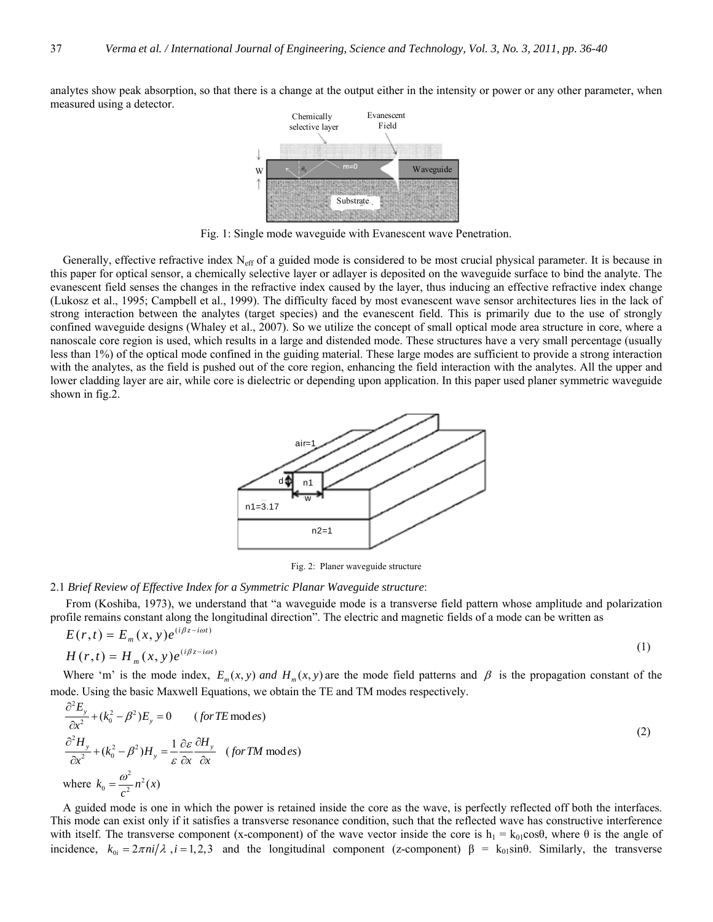analytes show peak absorption, so that there is a change at the output either in the intensity or power or any other parameter, when measured using a detector.



Fig. 1: Single mode waveguide with Evanescent wave Penetration.

Generally, effective refractive index N<sub>eff</sub> of a guided mode is considered to be most crucial physical parameter. It is because in this paper for optical sensor, a chemically selective layer or adlayer is deposited on the waveguide surface to bind the analyte. The evanescent field senses the changes in the refractive index caused by the layer, thus inducing an effective refractive index change (Lukosz et al., 1995; Campbell et al., 1999). The difficulty faced by most evanescent wave sensor architectures lies in the lack of strong interaction between the analytes (target species) and the evanescent field. This is primarily due to the use of strongly confined waveguide designs (Whaley et al., 2007). So we utilize the concept of small optical mode area structure in core, where a nanoscale core region is used, which results in a large and distended mode. These structures have a very small percentage (usually less than 1%) of the optical mode confined in the guiding material. These large modes are sufficient to provide a strong interaction with the analytes, as the field is pushed out of the core region, enhancing the field interaction with the analytes. All the upper and lower cladding layer are air, while core is dielectric or depending upon application. In this paper used planer symmetric waveguide shown in fig.2.



Fig. 2: Planer waveguide structure

### 2.1 *Brief Review of Effective Index for a Symmetric Planar Waveguide structure*:

 From (Koshiba, 1973), we understand that "a waveguide mode is a transverse field pattern whose amplitude and polarization profile remains constant along the longitudinal direction". The electric and magnetic fields of a mode can be written as

$$
E(r,t) = E_m(x, y)e^{(i\beta z - i\omega t)}
$$
  
\n
$$
H(r,t) = H_m(x, y)e^{(i\beta z - i\omega t)}
$$
\n(1)

Where 'm' is the mode index,  $E_m(x, y)$  *and*  $H_m(x, y)$  are the mode field patterns and  $\beta$  is the propagation constant of the mode. Using the basic Maxwell Equations, we obtain the TE and TM modes respectively. 2

$$
\frac{\partial^2 E_y}{\partial x^2} + (k_0^2 - \beta^2) E_y = 0 \qquad (for TE \text{ mod } es)
$$
  
\n
$$
\frac{\partial^2 H_y}{\partial x^2} + (k_0^2 - \beta^2) H_y = \frac{1}{\varepsilon} \frac{\partial \varepsilon}{\partial x} \frac{\partial H_y}{\partial x} \quad (for TM \text{ mod } es)
$$
  
\nwhere  $k_0 = \frac{\omega^2}{c^2} n^2(x)$  (2)

A guided mode is one in which the power is retained inside the core as the wave, is perfectly reflected off both the interfaces. This mode can exist only if it satisfies a transverse resonance condition, such that the reflected wave has constructive interference with itself. The transverse component (x-component) of the wave vector inside the core is  $h_1 = k_{01} \cos{\theta}$ , where  $\theta$  is the angle of incidence,  $k_{0i} = 2\pi ni/\lambda$ ,  $i = 1,2,3$  and the longitudinal component (z-component)  $\beta = k_{01} \sin \theta$ . Similarly, the transverse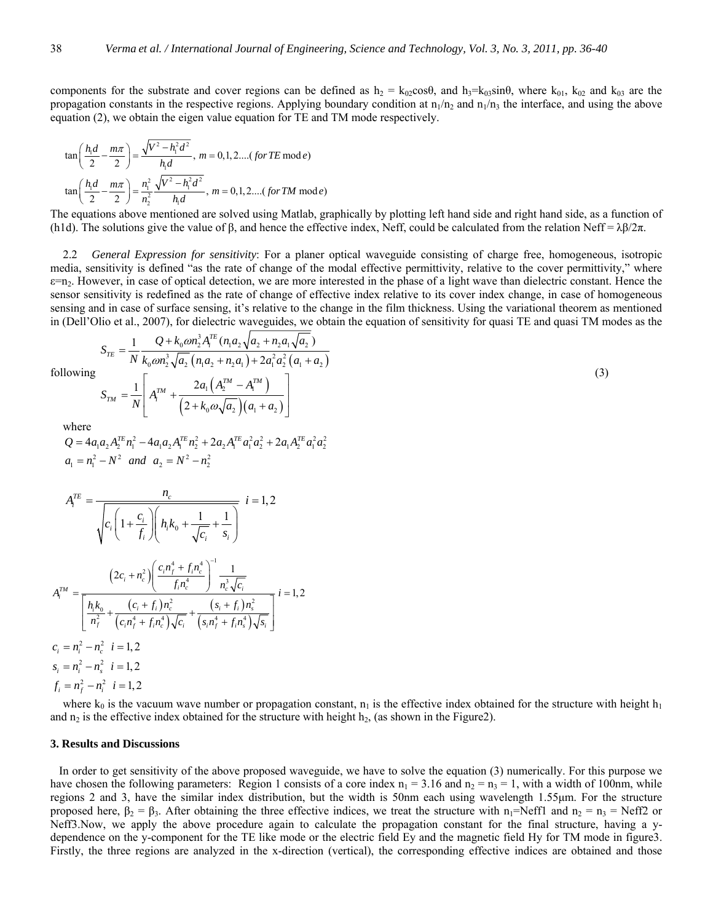components for the substrate and cover regions can be defined as  $h_2 = k_{02} \cos\theta$ , and  $h_3 = k_{03} \sin\theta$ , where  $k_{01}$ ,  $k_{02}$  and  $k_{03}$  are the propagation constants in the respective regions. Applying boundary condition at  $n_1/n_2$  and  $n_1/n_3$  the interface, and using the above equation (2), we obtain the eigen value equation for TE and TM mode respectively.

$$
\tan\left(\frac{h_1d}{2} - \frac{m\pi}{2}\right) = \frac{\sqrt{V^2 - h_1^2 d^2}}{h_1 d}, \ m = 0, 1, 2....(for TE \mod e)
$$

$$
\tan\left(\frac{h_1d}{2} - \frac{m\pi}{2}\right) = \frac{n_1^2}{n_2^2} \frac{\sqrt{V^2 - h_1^2 d^2}}{h_1 d}, \ m = 0, 1, 2....(for TM \mod e)
$$

The equations above mentioned are solved using Matlab, graphically by plotting left hand side and right hand side, as a function of (h1d). The solutions give the value of  $\beta$ , and hence the effective index, Neff, could be calculated from the relation Neff =  $\lambda \beta / 2\pi$ .

2.2 *General Expression for sensitivity*: For a planer optical waveguide consisting of charge free, homogeneous, isotropic media, sensitivity is defined "as the rate of change of the modal effective permittivity, relative to the cover permittivity," where  $\varepsilon$ =n<sub>2</sub>. However, in case of optical detection, we are more interested in the phase of a light wave than dielectric constant. Hence the sensor sensitivity is redefined as the rate of change of effective index relative to its cover index change, in case of homogeneous sensing and in case of surface sensing, it's relative to the change in the film thickness. Using the variational theorem as mentioned in (Dell'Olio et al., 2007), for dielectric waveguides, we obtain the equation of sensitivity for quasi TE and quasi TM modes as the

following

$$
S_{TM} = \frac{1}{N} \left[ A_i^{TM} + \frac{2a_1 \left( A_2^{TM} - A_1^{TM} \right)}{\left( 2 + k_0 \omega \sqrt{a_2} \right) \left( a_1 + a_2 \right)} \right]
$$

ω

 $(n_1a_2+n_2a_1)+2a_1^2a_2^2(a_1+a_2)$ 

2

 $\int_{0} \omega n_{2}^{3} A_{i}^{TE}(n_{1} a_{2} \sqrt{a_{2}+n_{2} a_{1}} \sqrt{a_{2}})$  $\int_0^1 \omega_2 \sqrt{a_2} \left( n_1 a_2 + n_2 a_1 \right) + 2 a_1^2 a_2^2 \left( a_1 + a_2 \right)$ 

1  $Q + k_0 \omega n_2^3 A_i^{TE} (n_1 a_2 \sqrt{a_2 + n_2 a_1} \sqrt{a_2})$ 

*N*  $k_0$   $\omega n_2^3 \sqrt{a}$ ,  $(n_1 a_2 + n_2 a_1) + 2a_1^2 a_2^2 (a_1 + a_2)$ 

*TE i*  $S_{TE} = \frac{1}{N} \frac{Q + k_0 \omega n_2^3 A_i^{TE} (n_1 a_2 \sqrt{a_2 + n_2 a_1 \sqrt{a_2}})}{Q}$ 

ω + + <sup>=</sup> ++ +

(3)

where  
\n
$$
Q = 4a_1a_2A_2^{TE}n_1^2 - 4a_1a_2A_1^{TE}n_2^2 + 2a_2A_1^{TE}a_1^2a_2^2 + 2a_1A_2^{TE}a_1^2a_2^2
$$
\n
$$
a_1 = n_1^2 - N^2 \quad \text{and} \quad a_2 = N^2 - n_2^2
$$

$$
A_i^{TE} = \frac{n_c}{\sqrt{c_i \left(1 + \frac{c_i}{f_i}\right) \left(n_i k_0 + \frac{1}{\sqrt{c_i}} + \frac{1}{s_i}\right)}} \quad i = 1, 2
$$
\n
$$
A_i^{TM} = \frac{\left(2c_i + n_c^2\right) \left(\frac{c_i n_f^4 + f_i n_c^4}{f_i n_c^4}\right)^{-1} \frac{1}{n_c^3 \sqrt{c_i}}}{\left[n_i k_0 + \frac{(c_i + f_i) n_c^2}{n_f^2} + \frac{(s_i + f_i) n_s^2}{(c_i n_f^4 + f_i n_c^4)\sqrt{c_i}} + \frac{(s_i + f_i) n_s^2}{(s_i n_f^4 + f_i n_s^4)\sqrt{s_i}}\right]}} \quad i = 1, 2
$$
\n
$$
c_i = n_i^2 - n_c^2 \quad i = 1, 2
$$
\n
$$
s_i = n_i^2 - n_c^2 \quad i = 1, 2
$$
\n
$$
f_i = n_f^2 - n_i^2 \quad i = 1, 2
$$

where  $k_0$  is the vacuum wave number or propagation constant,  $n_1$  is the effective index obtained for the structure with height  $h_1$ and  $n_2$  is the effective index obtained for the structure with height  $h_2$ , (as shown in the Figure2).

#### **3. Results and Discussions**

 In order to get sensitivity of the above proposed waveguide, we have to solve the equation (3) numerically. For this purpose we have chosen the following parameters: Region 1 consists of a core index  $n_1 = 3.16$  and  $n_2 = n_3 = 1$ , with a width of 100nm, while regions 2 and 3, have the similar index distribution, but the width is 50nm each using wavelength 1.55μm. For the structure proposed here,  $β_2 = β_3$ . After obtaining the three effective indices, we treat the structure with n<sub>1</sub>=Neff1 and n<sub>2</sub> = n<sub>3</sub> = Neff2 or Neff3.Now, we apply the above procedure again to calculate the propagation constant for the final structure, having a ydependence on the y-component for the TE like mode or the electric field Ey and the magnetic field Hy for TM mode in figure3. Firstly, the three regions are analyzed in the x-direction (vertical), the corresponding effective indices are obtained and those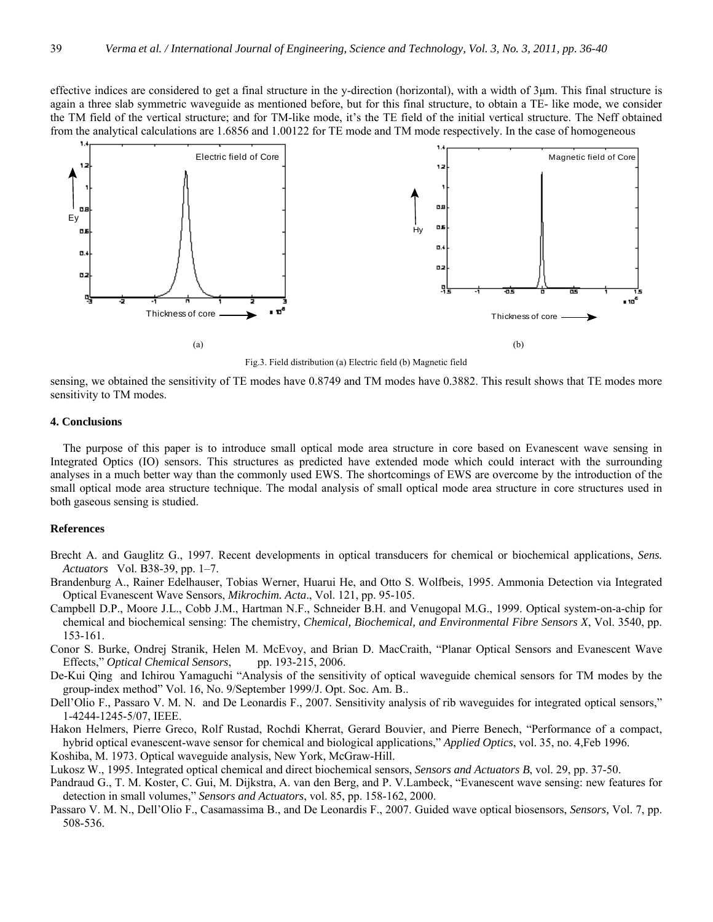effective indices are considered to get a final structure in the y-direction (horizontal), with a width of 3μm. This final structure is again a three slab symmetric waveguide as mentioned before, but for this final structure, to obtain a TE- like mode, we consider the TM field of the vertical structure; and for TM-like mode, it's the TE field of the initial vertical structure. The Neff obtained from the analytical calculations are 1.6856 and 1.00122 for TE mode and TM mode respectively. In the case of homogeneous



Fig.3. Field distribution (a) Electric field (b) Magnetic field

sensing, we obtained the sensitivity of TE modes have 0.8749 and TM modes have 0.3882. This result shows that TE modes more sensitivity to TM modes.

## **4. Conclusions**

The purpose of this paper is to introduce small optical mode area structure in core based on Evanescent wave sensing in Integrated Optics (IO) sensors. This structures as predicted have extended mode which could interact with the surrounding analyses in a much better way than the commonly used EWS. The shortcomings of EWS are overcome by the introduction of the small optical mode area structure technique. The modal analysis of small optical mode area structure in core structures used in both gaseous sensing is studied.

## **References**

- Brecht A. and Gauglitz G., 1997. Recent developments in optical transducers for chemical or biochemical applications, *Sens. Actuators* Vol. B38-39, pp. 1–7.
- Brandenburg A., Rainer Edelhauser, Tobias Werner, Huarui He, and Otto S. Wolfbeis, 1995. Ammonia Detection via Integrated Optical Evanescent Wave Sensors, *Mikrochim. Acta*., Vol. 121, pp. 95-105.
- Campbell D.P., Moore J.L., Cobb J.M., Hartman N.F., Schneider B.H. and Venugopal M.G., 1999. Optical system-on-a-chip for chemical and biochemical sensing: The chemistry, *Chemical, Biochemical, and Environmental Fibre Sensors X*, Vol. 3540, pp. 153-161.
- Conor S. Burke, Ondrej Stranik, Helen M. McEvoy, and Brian D. MacCraith, "Planar Optical Sensors and Evanescent Wave Effects," *Optical Chemical Sensors*, pp. 193-215, 2006.
- De-Kui Qing and Ichirou Yamaguchi "Analysis of the sensitivity of optical waveguide chemical sensors for TM modes by the group-index method" Vol. 16, No. 9/September 1999/J. Opt. Soc. Am. B..
- Dell'Olio F., Passaro V. M. N. and De Leonardis F., 2007. Sensitivity analysis of rib waveguides for integrated optical sensors," 1-4244-1245-5/07, IEEE.
- Hakon Helmers, Pierre Greco, Rolf Rustad, Rochdi Kherrat, Gerard Bouvier, and Pierre Benech, "Performance of a compact, hybrid optical evanescent-wave sensor for chemical and biological applications," *Applied Optics*, vol. 35, no. 4,Feb 1996. Koshiba, M. 1973. Optical waveguide analysis, New York, McGraw-Hill.

Lukosz W., 1995. Integrated optical chemical and direct biochemical sensors, *Sensors and Actuators B*, vol. 29, pp. 37-50.

- Pandraud G., T. M. Koster, C. Gui, M. Dijkstra, A. van den Berg, and P. V.Lambeck, "Evanescent wave sensing: new features for detection in small volumes," *Sensors and Actuators*, vol. 85, pp. 158-162, 2000.
- Passaro V. M. N., Dell'Olio F., Casamassima B., and De Leonardis F., 2007. Guided wave optical biosensors, *Sensors,* Vol. 7, pp. 508-536.